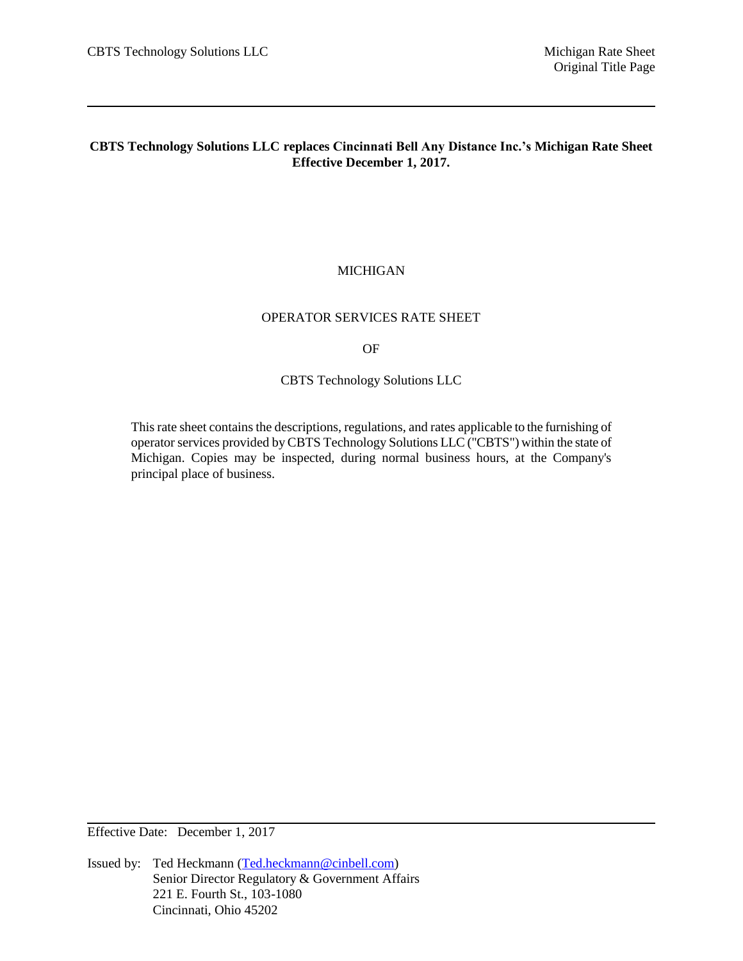## **CBTS Technology Solutions LLC replaces Cincinnati Bell Any Distance Inc.'s Michigan Rate Sheet Effective December 1, 2017.**

## MICHIGAN

#### OPERATOR SERVICES RATE SHEET

OF

CBTS Technology Solutions LLC

This rate sheet contains the descriptions, regulations, and rates applicable to the furnishing of operator services provided by CBTS Technology Solutions LLC ("CBTS") within the state of Michigan. Copies may be inspected, during normal business hours, at the Company's principal place of business.

Effective Date: December 1, 2017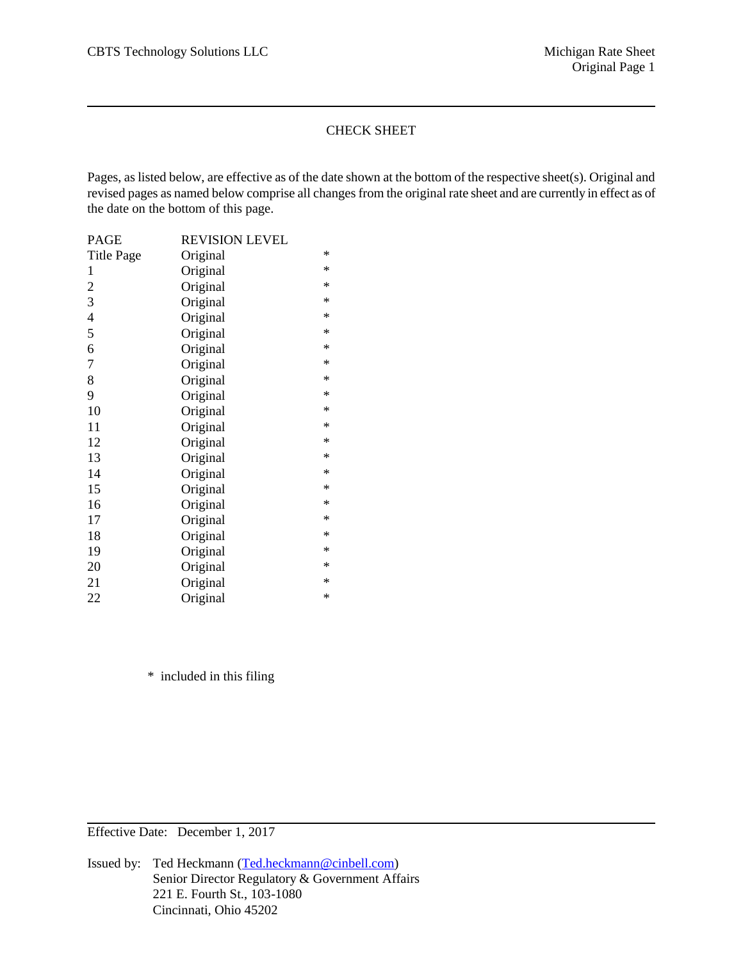## CHECK SHEET

Pages, as listed below, are effective as of the date shown at the bottom of the respective sheet(s). Original and revised pages as named below comprise all changes from the original rate sheet and are currently in effect as of the date on the bottom of this page.

| PAGE                     | REVISION LEVEL |        |
|--------------------------|----------------|--------|
| <b>Title Page</b>        | Original       | $\ast$ |
| $\mathbf 1$              | Original       | $\ast$ |
| $\mathfrak{2}$           | Original       | *      |
| 3                        | Original       | $\ast$ |
| $\overline{\mathcal{A}}$ | Original       | $\ast$ |
| 5                        | Original       | $\ast$ |
| 6                        | Original       | $\ast$ |
| $\overline{7}$           | Original       | $\ast$ |
| 8                        | Original       | $\ast$ |
| 9                        | Original       | $\ast$ |
| 10                       | Original       | $\ast$ |
| 11                       | Original       | $\ast$ |
| 12                       | Original       | $\ast$ |
| 13                       | Original       | $\ast$ |
| 14                       | Original       | $\ast$ |
| 15                       | Original       | $\ast$ |
| 16                       | Original       | $\ast$ |
| 17                       | Original       | $\ast$ |
| 18                       | Original       | *      |
| 19                       | Original       | $\ast$ |
| 20                       | Original       | $\ast$ |
| 21                       | Original       | $\ast$ |
| 22                       | Original       | *      |

\* included in this filing

Effective Date: December 1, 2017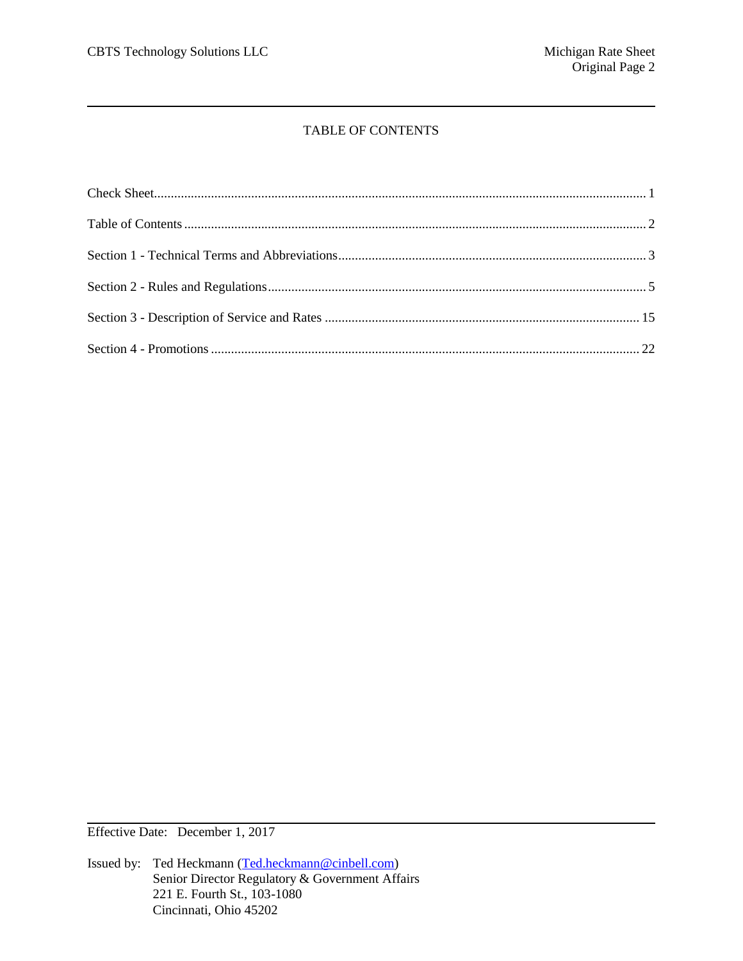# TABLE OF CONTENTS

Effective Date: December 1, 2017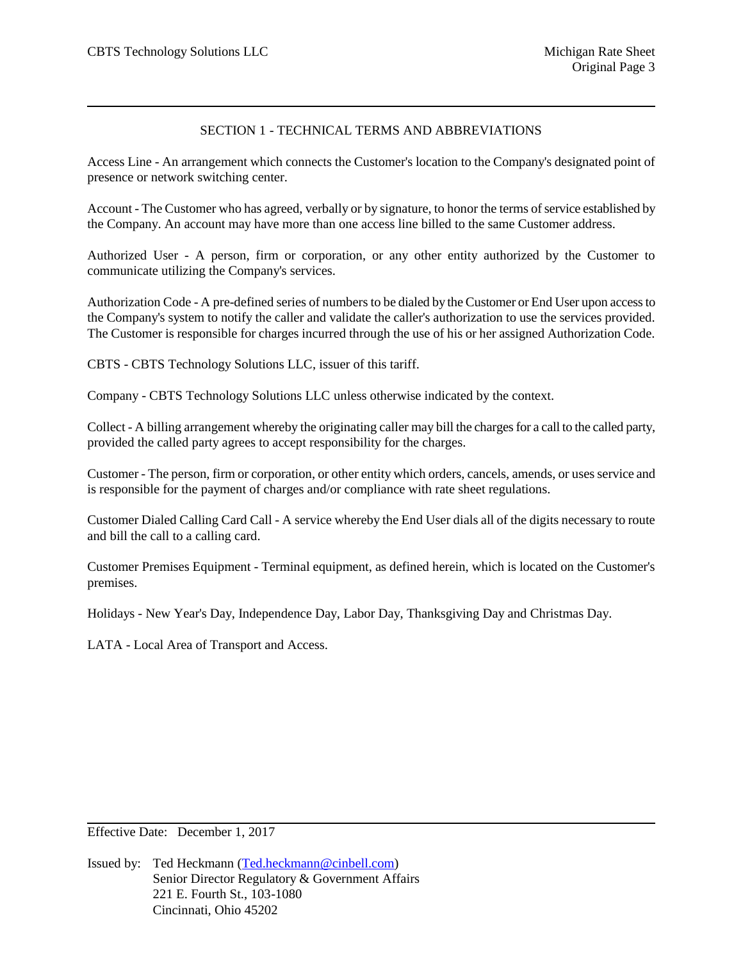## SECTION 1 - TECHNICAL TERMS AND ABBREVIATIONS

Access Line - An arrangement which connects the Customer's location to the Company's designated point of presence or network switching center.

Account - The Customer who has agreed, verbally or by signature, to honor the terms of service established by the Company. An account may have more than one access line billed to the same Customer address.

Authorized User - A person, firm or corporation, or any other entity authorized by the Customer to communicate utilizing the Company's services.

Authorization Code - A pre-defined series of numbers to be dialed by the Customer or End User upon access to the Company's system to notify the caller and validate the caller's authorization to use the services provided. The Customer is responsible for charges incurred through the use of his or her assigned Authorization Code.

CBTS - CBTS Technology Solutions LLC, issuer of this tariff.

Company - CBTS Technology Solutions LLC unless otherwise indicated by the context.

Collect - A billing arrangement whereby the originating caller may bill the charges for a call to the called party, provided the called party agrees to accept responsibility for the charges.

Customer - The person, firm or corporation, or other entity which orders, cancels, amends, or uses service and is responsible for the payment of charges and/or compliance with rate sheet regulations.

Customer Dialed Calling Card Call - A service whereby the End User dials all of the digits necessary to route and bill the call to a calling card.

Customer Premises Equipment - Terminal equipment, as defined herein, which is located on the Customer's premises.

Holidays - New Year's Day, Independence Day, Labor Day, Thanksgiving Day and Christmas Day.

LATA - Local Area of Transport and Access.

Effective Date: December 1, 2017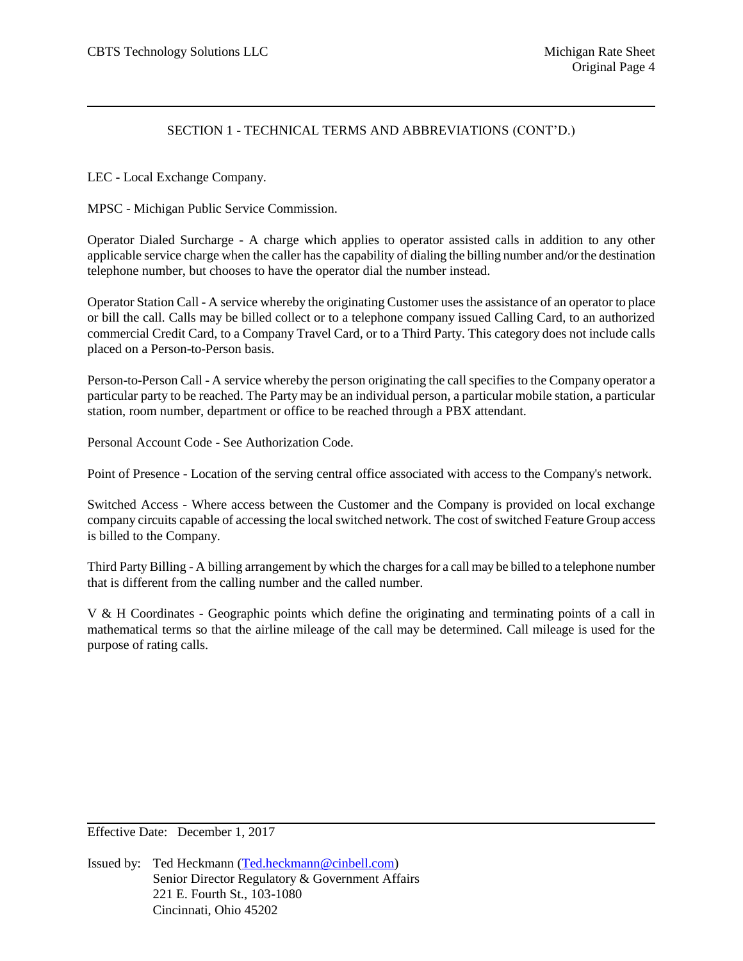## SECTION 1 - TECHNICAL TERMS AND ABBREVIATIONS (CONT'D.)

LEC - Local Exchange Company.

MPSC - Michigan Public Service Commission.

Operator Dialed Surcharge - A charge which applies to operator assisted calls in addition to any other applicable service charge when the caller has the capability of dialing the billing number and/or the destination telephone number, but chooses to have the operator dial the number instead.

Operator Station Call - A service whereby the originating Customer uses the assistance of an operator to place or bill the call. Calls may be billed collect or to a telephone company issued Calling Card, to an authorized commercial Credit Card, to a Company Travel Card, or to a Third Party. This category does not include calls placed on a Person-to-Person basis.

Person-to-Person Call - A service whereby the person originating the call specifies to the Company operator a particular party to be reached. The Party may be an individual person, a particular mobile station, a particular station, room number, department or office to be reached through a PBX attendant.

Personal Account Code - See Authorization Code.

Point of Presence - Location of the serving central office associated with access to the Company's network.

Switched Access - Where access between the Customer and the Company is provided on local exchange company circuits capable of accessing the local switched network. The cost of switched Feature Group access is billed to the Company.

Third Party Billing - A billing arrangement by which the charges for a call may be billed to a telephone number that is different from the calling number and the called number.

V & H Coordinates - Geographic points which define the originating and terminating points of a call in mathematical terms so that the airline mileage of the call may be determined. Call mileage is used for the purpose of rating calls.

Effective Date: December 1, 2017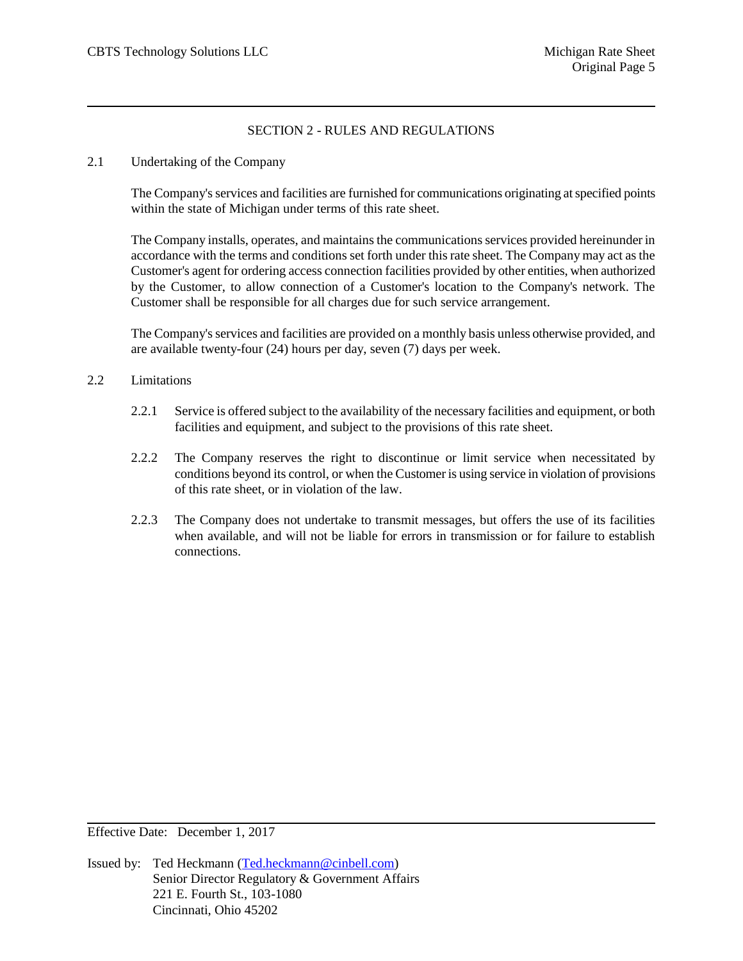## SECTION 2 - RULES AND REGULATIONS

2.1 Undertaking of the Company

The Company's services and facilities are furnished for communications originating at specified points within the state of Michigan under terms of this rate sheet.

The Company installs, operates, and maintains the communications services provided hereinunder in accordance with the terms and conditions set forth under this rate sheet. The Company may act as the Customer's agent for ordering access connection facilities provided by other entities, when authorized by the Customer, to allow connection of a Customer's location to the Company's network. The Customer shall be responsible for all charges due for such service arrangement.

The Company's services and facilities are provided on a monthly basis unless otherwise provided, and are available twenty-four (24) hours per day, seven (7) days per week.

### 2.2 Limitations

- 2.2.1 Service is offered subject to the availability of the necessary facilities and equipment, or both facilities and equipment, and subject to the provisions of this rate sheet.
- 2.2.2 The Company reserves the right to discontinue or limit service when necessitated by conditions beyond its control, or when the Customer is using service in violation of provisions of this rate sheet, or in violation of the law.
- 2.2.3 The Company does not undertake to transmit messages, but offers the use of its facilities when available, and will not be liable for errors in transmission or for failure to establish connections.

Effective Date: December 1, 2017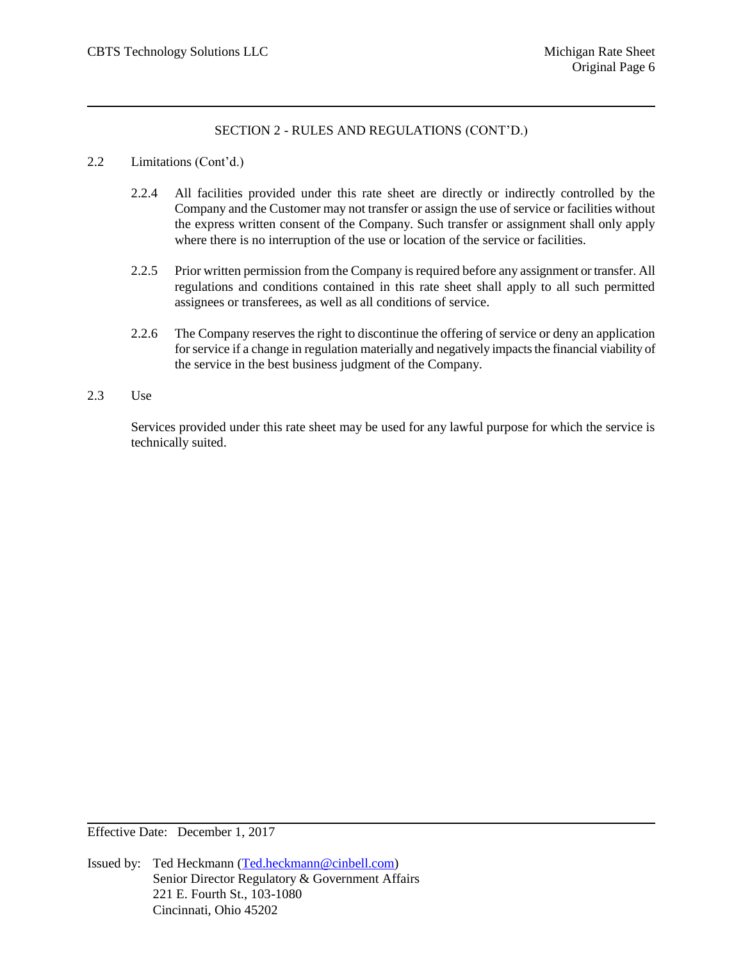## 2.2 Limitations (Cont'd.)

- 2.2.4 All facilities provided under this rate sheet are directly or indirectly controlled by the Company and the Customer may not transfer or assign the use of service or facilities without the express written consent of the Company. Such transfer or assignment shall only apply where there is no interruption of the use or location of the service or facilities.
- 2.2.5 Prior written permission from the Company is required before any assignment or transfer. All regulations and conditions contained in this rate sheet shall apply to all such permitted assignees or transferees, as well as all conditions of service.
- 2.2.6 The Company reserves the right to discontinue the offering of service or deny an application for service if a change in regulation materially and negatively impacts the financial viability of the service in the best business judgment of the Company.
- 2.3 Use

Services provided under this rate sheet may be used for any lawful purpose for which the service is technically suited.

Effective Date: December 1, 2017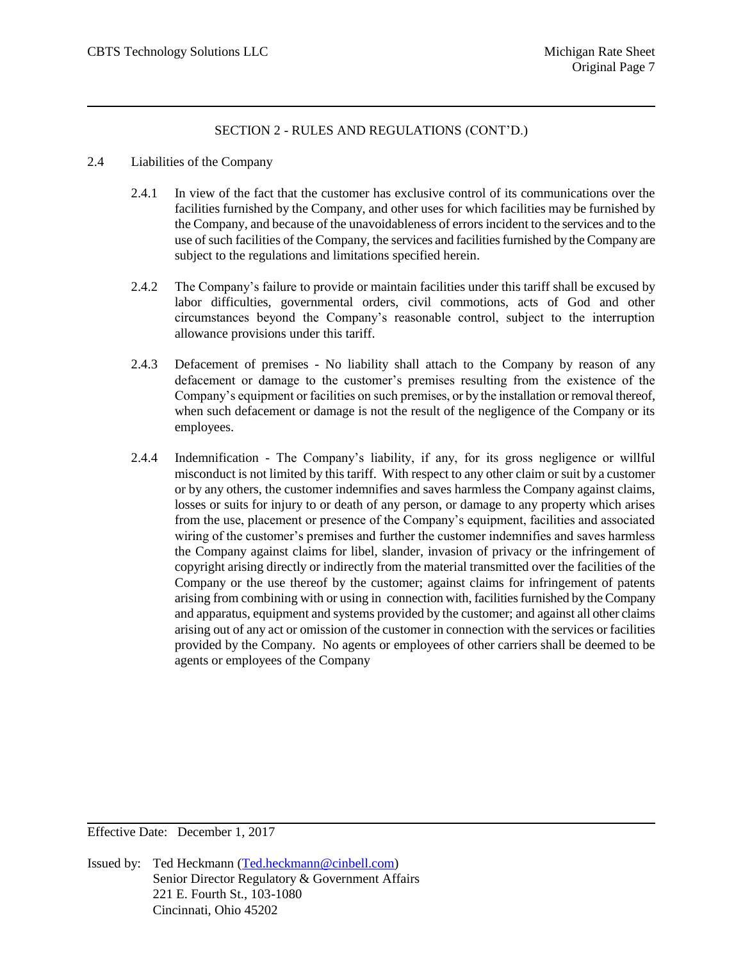#### 2.4 Liabilities of the Company

- 2.4.1 In view of the fact that the customer has exclusive control of its communications over the facilities furnished by the Company, and other uses for which facilities may be furnished by the Company, and because of the unavoidableness of errors incident to the services and to the use of such facilities of the Company, the services and facilities furnished by the Company are subject to the regulations and limitations specified herein.
- 2.4.2 The Company's failure to provide or maintain facilities under this tariff shall be excused by labor difficulties, governmental orders, civil commotions, acts of God and other circumstances beyond the Company's reasonable control, subject to the interruption allowance provisions under this tariff.
- 2.4.3 Defacement of premises No liability shall attach to the Company by reason of any defacement or damage to the customer's premises resulting from the existence of the Company's equipment or facilities on such premises, or by the installation or removal thereof, when such defacement or damage is not the result of the negligence of the Company or its employees.
- 2.4.4 Indemnification The Company's liability, if any, for its gross negligence or willful misconduct is not limited by this tariff. With respect to any other claim or suit by a customer or by any others, the customer indemnifies and saves harmless the Company against claims, losses or suits for injury to or death of any person, or damage to any property which arises from the use, placement or presence of the Company's equipment, facilities and associated wiring of the customer's premises and further the customer indemnifies and saves harmless the Company against claims for libel, slander, invasion of privacy or the infringement of copyright arising directly or indirectly from the material transmitted over the facilities of the Company or the use thereof by the customer; against claims for infringement of patents arising from combining with or using in connection with, facilitiesfurnished by the Company and apparatus, equipment and systems provided by the customer; and against all other claims arising out of any act or omission of the customer in connection with the services or facilities provided by the Company. No agents or employees of other carriers shall be deemed to be agents or employees of the Company

Effective Date: December 1, 2017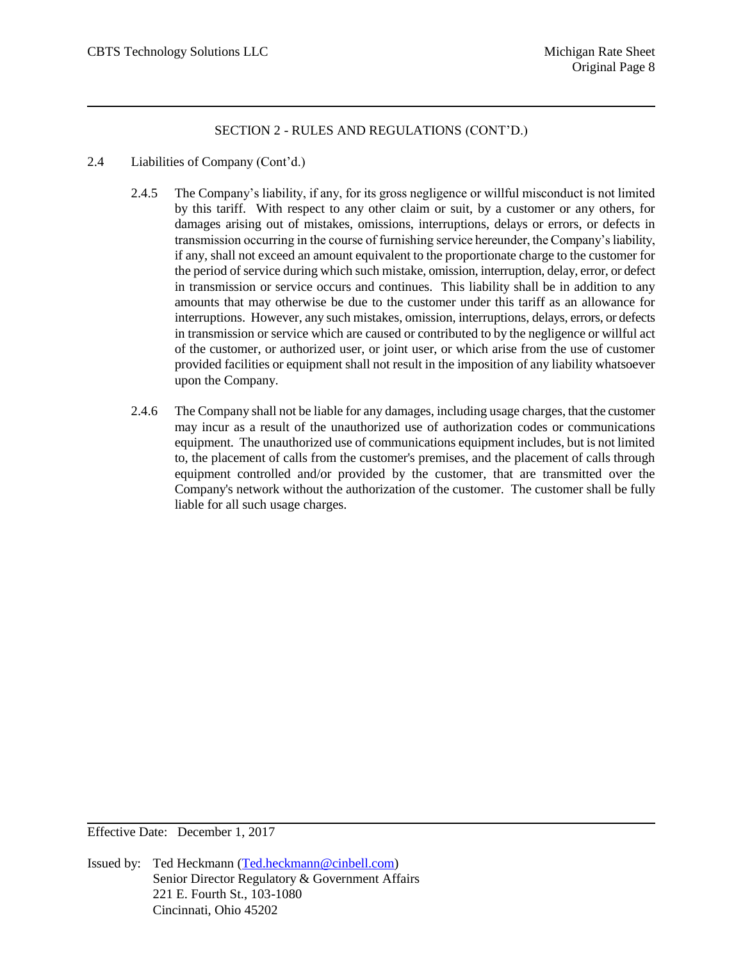- 2.4 Liabilities of Company (Cont'd.)
	- 2.4.5 The Company's liability, if any, for its gross negligence or willful misconduct is not limited by this tariff. With respect to any other claim or suit, by a customer or any others, for damages arising out of mistakes, omissions, interruptions, delays or errors, or defects in transmission occurring in the course of furnishing service hereunder, the Company's liability, if any, shall not exceed an amount equivalent to the proportionate charge to the customer for the period of service during which such mistake, omission, interruption, delay, error, or defect in transmission or service occurs and continues. This liability shall be in addition to any amounts that may otherwise be due to the customer under this tariff as an allowance for interruptions. However, any such mistakes, omission, interruptions, delays, errors, or defects in transmission or service which are caused or contributed to by the negligence or willful act of the customer, or authorized user, or joint user, or which arise from the use of customer provided facilities or equipment shall not result in the imposition of any liability whatsoever upon the Company.
	- 2.4.6 The Company shall not be liable for any damages, including usage charges, that the customer may incur as a result of the unauthorized use of authorization codes or communications equipment. The unauthorized use of communications equipment includes, but is not limited to, the placement of calls from the customer's premises, and the placement of calls through equipment controlled and/or provided by the customer, that are transmitted over the Company's network without the authorization of the customer. The customer shall be fully liable for all such usage charges.

Effective Date: December 1, 2017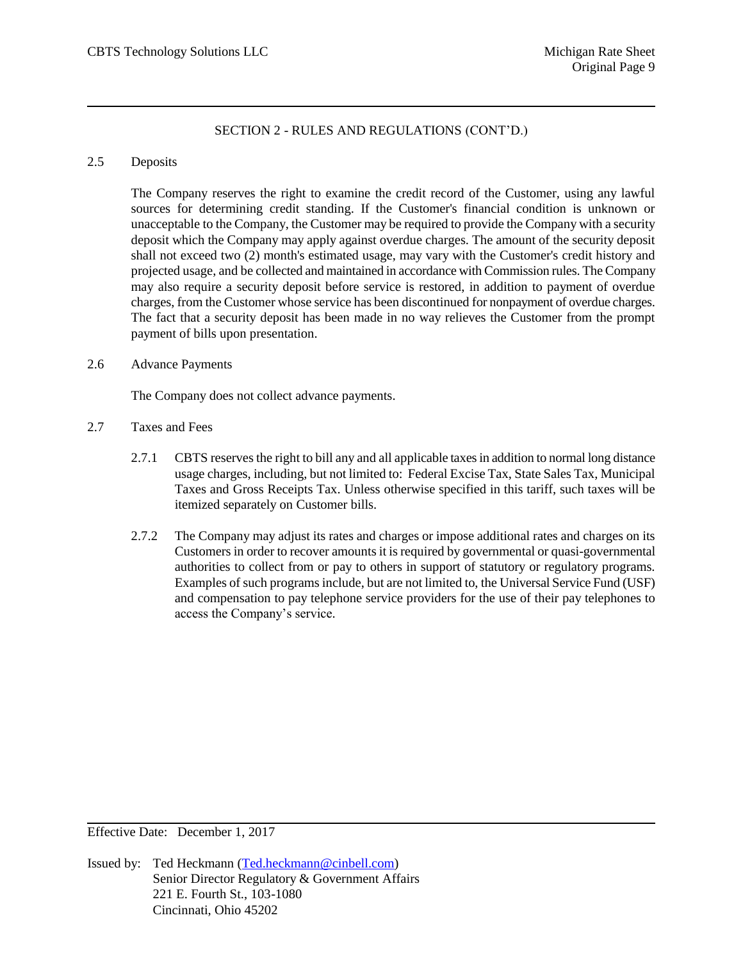#### 2.5 Deposits

The Company reserves the right to examine the credit record of the Customer, using any lawful sources for determining credit standing. If the Customer's financial condition is unknown or unacceptable to the Company, the Customer may be required to provide the Company with a security deposit which the Company may apply against overdue charges. The amount of the security deposit shall not exceed two (2) month's estimated usage, may vary with the Customer's credit history and projected usage, and be collected and maintained in accordance with Commission rules. The Company may also require a security deposit before service is restored, in addition to payment of overdue charges, from the Customer whose service has been discontinued for nonpayment of overdue charges. The fact that a security deposit has been made in no way relieves the Customer from the prompt payment of bills upon presentation.

### 2.6 Advance Payments

The Company does not collect advance payments.

- 2.7 Taxes and Fees
	- 2.7.1 CBTS reserves the right to bill any and all applicable taxes in addition to normal long distance usage charges, including, but not limited to: Federal Excise Tax, State Sales Tax, Municipal Taxes and Gross Receipts Tax. Unless otherwise specified in this tariff, such taxes will be itemized separately on Customer bills.
	- 2.7.2 The Company may adjust its rates and charges or impose additional rates and charges on its Customers in order to recover amounts it is required by governmental or quasi-governmental authorities to collect from or pay to others in support of statutory or regulatory programs. Examples of such programs include, but are not limited to, the Universal Service Fund (USF) and compensation to pay telephone service providers for the use of their pay telephones to access the Company's service.

Effective Date: December 1, 2017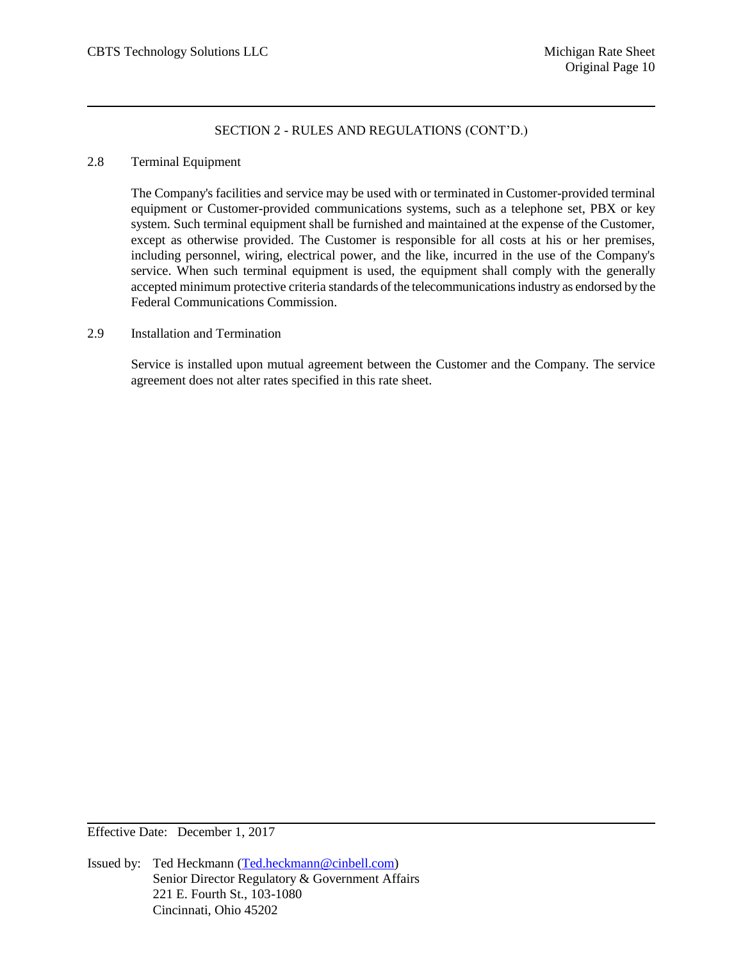#### 2.8 Terminal Equipment

The Company's facilities and service may be used with or terminated in Customer-provided terminal equipment or Customer-provided communications systems, such as a telephone set, PBX or key system. Such terminal equipment shall be furnished and maintained at the expense of the Customer, except as otherwise provided. The Customer is responsible for all costs at his or her premises, including personnel, wiring, electrical power, and the like, incurred in the use of the Company's service. When such terminal equipment is used, the equipment shall comply with the generally accepted minimum protective criteria standards of the telecommunications industry as endorsed by the Federal Communications Commission.

### 2.9 Installation and Termination

Service is installed upon mutual agreement between the Customer and the Company. The service agreement does not alter rates specified in this rate sheet.

Effective Date: December 1, 2017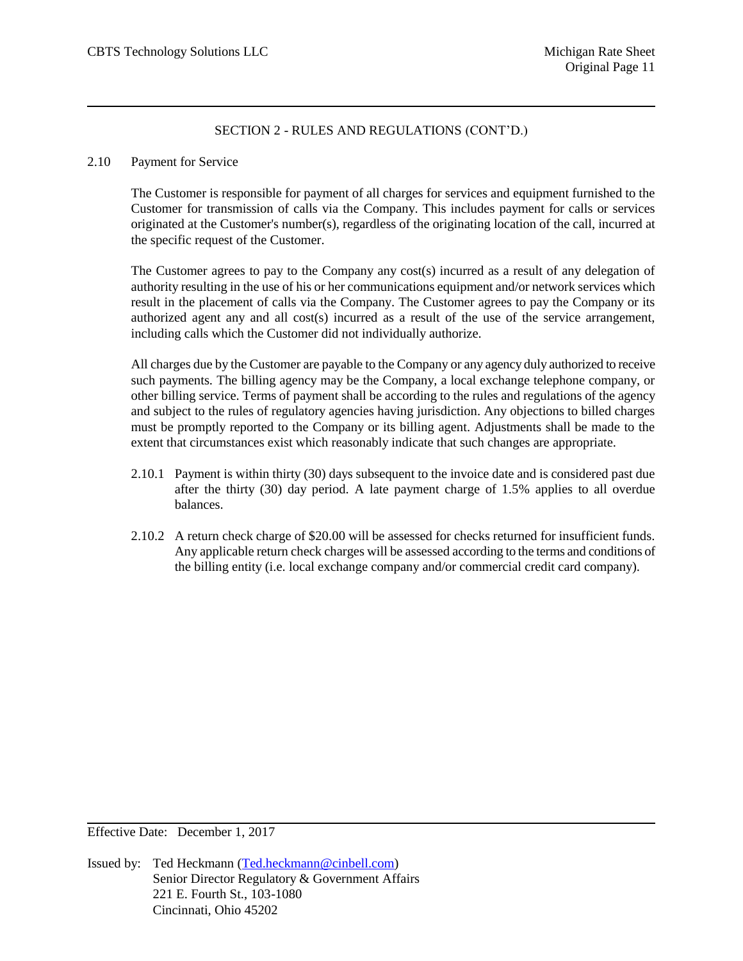#### 2.10 Payment for Service

The Customer is responsible for payment of all charges for services and equipment furnished to the Customer for transmission of calls via the Company. This includes payment for calls or services originated at the Customer's number(s), regardless of the originating location of the call, incurred at the specific request of the Customer.

The Customer agrees to pay to the Company any cost(s) incurred as a result of any delegation of authority resulting in the use of his or her communications equipment and/or network services which result in the placement of calls via the Company. The Customer agrees to pay the Company or its authorized agent any and all cost(s) incurred as a result of the use of the service arrangement, including calls which the Customer did not individually authorize.

All charges due by the Customer are payable to the Company or any agency duly authorized to receive such payments. The billing agency may be the Company, a local exchange telephone company, or other billing service. Terms of payment shall be according to the rules and regulations of the agency and subject to the rules of regulatory agencies having jurisdiction. Any objections to billed charges must be promptly reported to the Company or its billing agent. Adjustments shall be made to the extent that circumstances exist which reasonably indicate that such changes are appropriate.

- 2.10.1 Payment is within thirty (30) days subsequent to the invoice date and is considered past due after the thirty (30) day period. A late payment charge of 1.5% applies to all overdue balances.
- 2.10.2 A return check charge of \$20.00 will be assessed for checks returned for insufficient funds. Any applicable return check charges will be assessed according to the terms and conditions of the billing entity (i.e. local exchange company and/or commercial credit card company).

Effective Date: December 1, 2017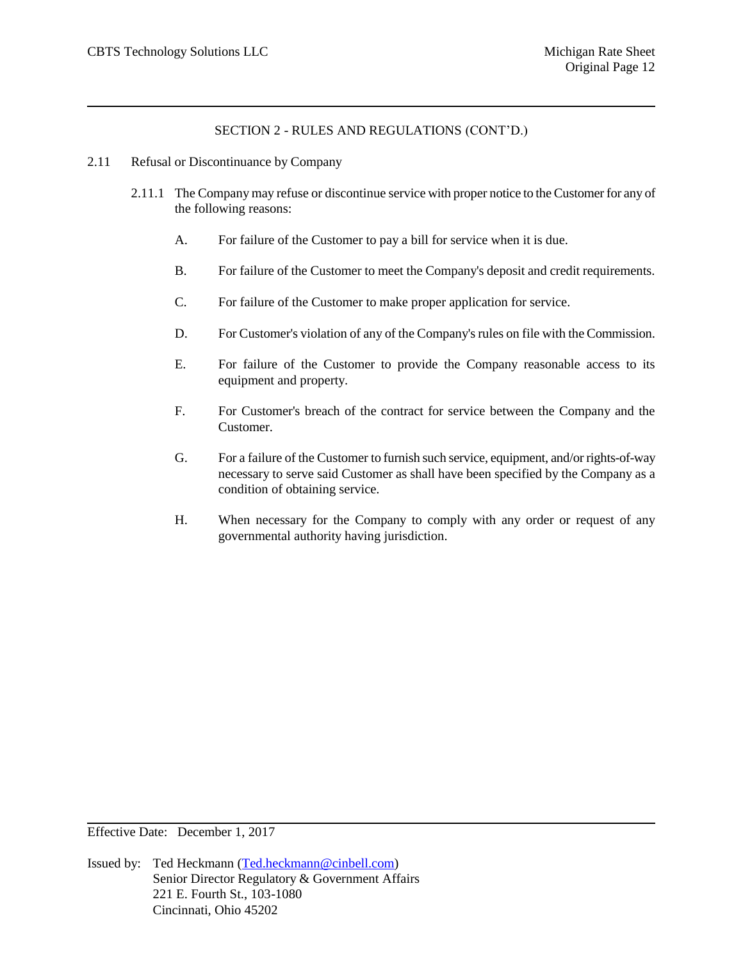- 2.11 Refusal or Discontinuance by Company
	- 2.11.1 The Company may refuse or discontinue service with proper notice to the Customer for any of the following reasons:
		- A. For failure of the Customer to pay a bill for service when it is due.
		- B. For failure of the Customer to meet the Company's deposit and credit requirements.
		- C. For failure of the Customer to make proper application for service.
		- D. For Customer's violation of any of the Company's rules on file with the Commission.
		- E. For failure of the Customer to provide the Company reasonable access to its equipment and property.
		- F. For Customer's breach of the contract for service between the Company and the Customer.
		- G. For a failure of the Customer to furnish such service, equipment, and/or rights-of-way necessary to serve said Customer as shall have been specified by the Company as a condition of obtaining service.
		- H. When necessary for the Company to comply with any order or request of any governmental authority having jurisdiction.

Effective Date: December 1, 2017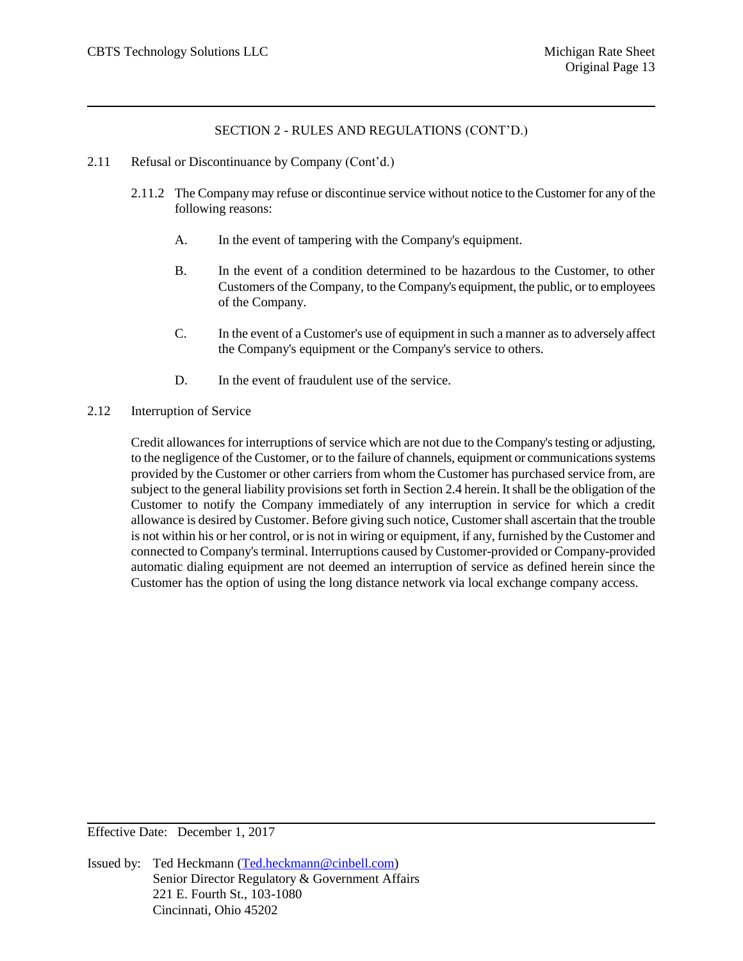- 2.11 Refusal or Discontinuance by Company (Cont'd.)
	- 2.11.2 The Company may refuse or discontinue service without notice to the Customer for any of the following reasons:
		- A. In the event of tampering with the Company's equipment.
		- B. In the event of a condition determined to be hazardous to the Customer, to other Customers of the Company, to the Company's equipment, the public, or to employees of the Company.
		- C. In the event of a Customer's use of equipment in such a manner as to adversely affect the Company's equipment or the Company's service to others.
		- D. In the event of fraudulent use of the service.
- 2.12 Interruption of Service

Credit allowances for interruptions of service which are not due to the Company's testing or adjusting, to the negligence of the Customer, or to the failure of channels, equipment or communications systems provided by the Customer or other carriers from whom the Customer has purchased service from, are subject to the general liability provisions set forth in Section 2.4 herein. It shall be the obligation of the Customer to notify the Company immediately of any interruption in service for which a credit allowance is desired by Customer. Before giving such notice, Customer shall ascertain that the trouble is not within his or her control, or is not in wiring or equipment, if any, furnished by the Customer and connected to Company's terminal. Interruptions caused by Customer-provided or Company-provided automatic dialing equipment are not deemed an interruption of service as defined herein since the Customer has the option of using the long distance network via local exchange company access.

Effective Date: December 1, 2017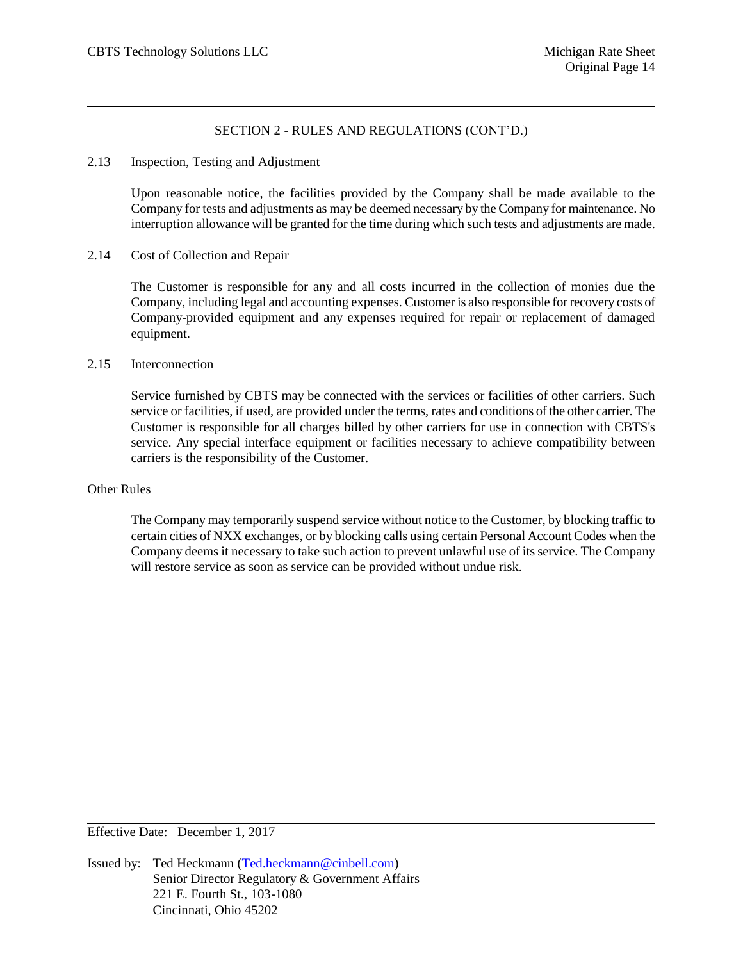#### 2.13 Inspection, Testing and Adjustment

Upon reasonable notice, the facilities provided by the Company shall be made available to the Company for tests and adjustments as may be deemed necessary by the Company for maintenance. No interruption allowance will be granted for the time during which such tests and adjustments are made.

#### 2.14 Cost of Collection and Repair

The Customer is responsible for any and all costs incurred in the collection of monies due the Company, including legal and accounting expenses. Customer is also responsible for recovery costs of Company-provided equipment and any expenses required for repair or replacement of damaged equipment.

#### 2.15 Interconnection

Service furnished by CBTS may be connected with the services or facilities of other carriers. Such service or facilities, if used, are provided under the terms, rates and conditions of the other carrier. The Customer is responsible for all charges billed by other carriers for use in connection with CBTS's service. Any special interface equipment or facilities necessary to achieve compatibility between carriers is the responsibility of the Customer.

### Other Rules

The Company may temporarily suspend service without notice to the Customer, by blocking traffic to certain cities of NXX exchanges, or by blocking calls using certain Personal Account Codes when the Company deems it necessary to take such action to prevent unlawful use of its service. The Company will restore service as soon as service can be provided without undue risk.

Effective Date: December 1, 2017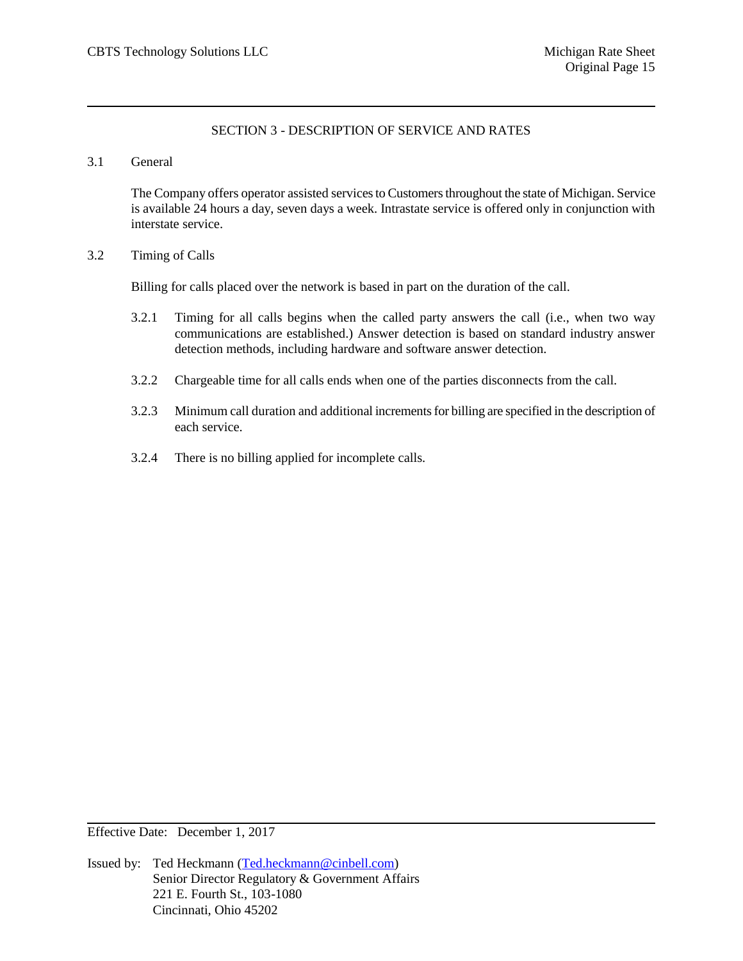## SECTION 3 - DESCRIPTION OF SERVICE AND RATES

#### 3.1 General

The Company offers operator assisted services to Customers throughout the state of Michigan. Service is available 24 hours a day, seven days a week. Intrastate service is offered only in conjunction with interstate service.

## 3.2 Timing of Calls

Billing for calls placed over the network is based in part on the duration of the call.

- 3.2.1 Timing for all calls begins when the called party answers the call (i.e., when two way communications are established.) Answer detection is based on standard industry answer detection methods, including hardware and software answer detection.
- 3.2.2 Chargeable time for all calls ends when one of the parties disconnects from the call.
- 3.2.3 Minimum call duration and additional increments for billing are specified in the description of each service.
- 3.2.4 There is no billing applied for incomplete calls.

Effective Date: December 1, 2017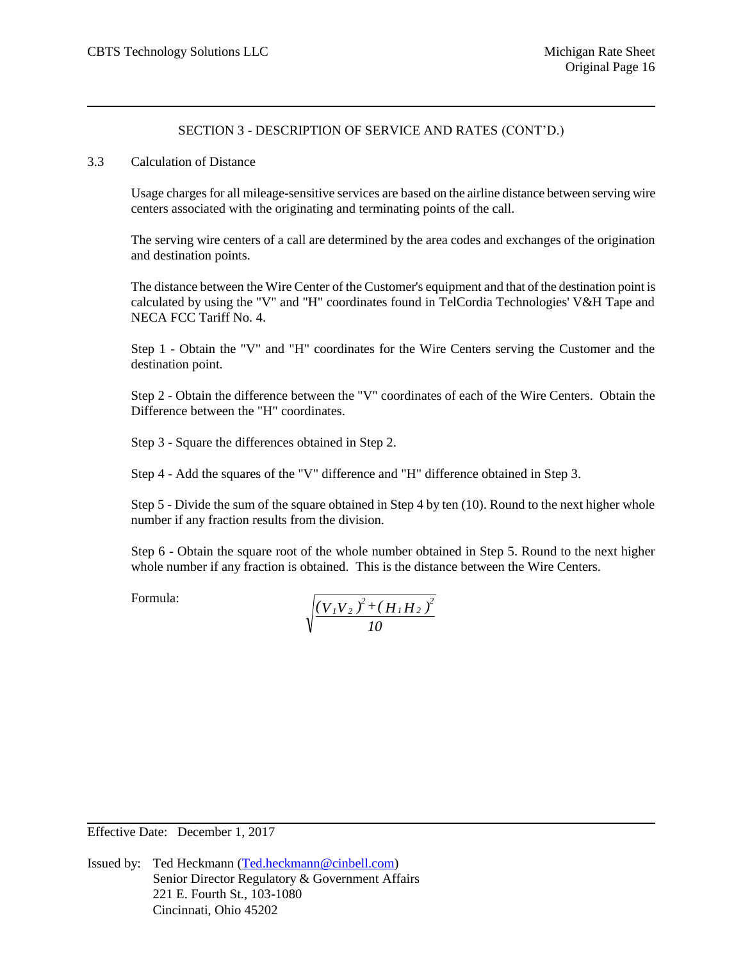#### 3.3 Calculation of Distance

Usage charges for all mileage-sensitive services are based on the airline distance between serving wire centers associated with the originating and terminating points of the call.

The serving wire centers of a call are determined by the area codes and exchanges of the origination and destination points.

The distance between the Wire Center of the Customer's equipment and that of the destination point is calculated by using the "V" and "H" coordinates found in TelCordia Technologies' V&H Tape and NECA FCC Tariff No. 4.

Step 1 - Obtain the "V" and "H" coordinates for the Wire Centers serving the Customer and the destination point.

Step 2 - Obtain the difference between the "V" coordinates of each of the Wire Centers. Obtain the Difference between the "H" coordinates.

Step 3 - Square the differences obtained in Step 2.

Step 4 - Add the squares of the "V" difference and "H" difference obtained in Step 3.

Step 5 - Divide the sum of the square obtained in Step 4 by ten (10). Round to the next higher whole number if any fraction results from the division.

Step 6 - Obtain the square root of the whole number obtained in Step 5. Round to the next higher whole number if any fraction is obtained. This is the distance between the Wire Centers.

Formula:

$$
\sqrt{\frac{\left(V_{1}V_{2}\right)^{2}+\left(H_{1}H_{2}\right)^{2}}{10}}
$$

Effective Date: December 1, 2017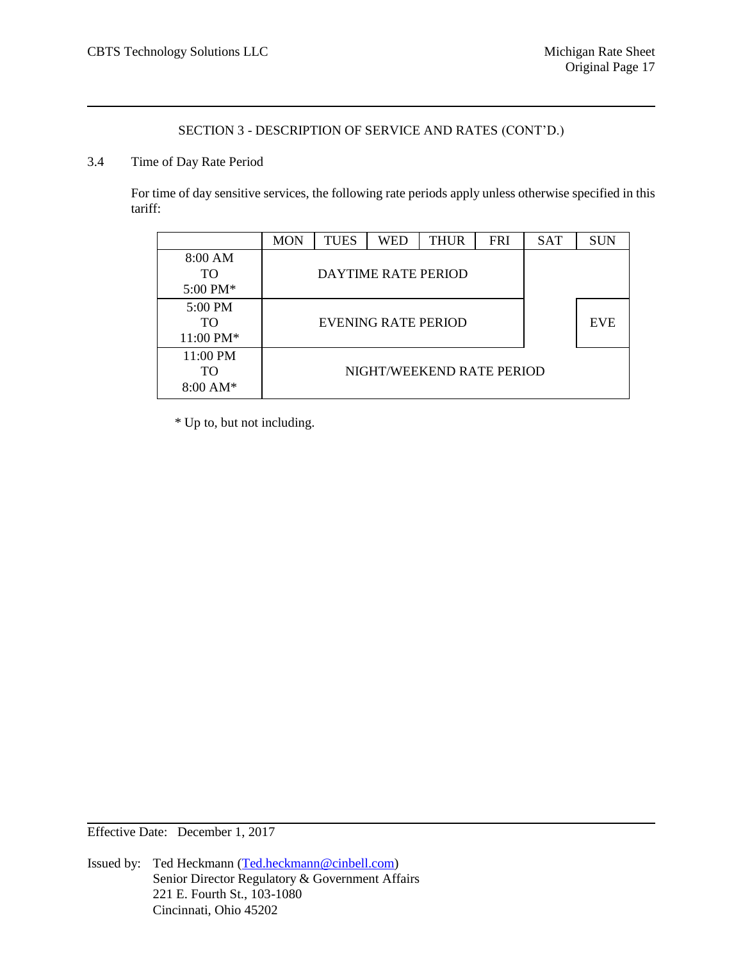## 3.4 Time of Day Rate Period

For time of day sensitive services, the following rate periods apply unless otherwise specified in this tariff:

|                                            | <b>MON</b> | <b>TUES</b> | <b>WED</b>                 | <b>THUR</b>               | <b>FRI</b> | <b>SAT</b> | <b>SUN</b> |
|--------------------------------------------|------------|-------------|----------------------------|---------------------------|------------|------------|------------|
| 8:00 AM<br><b>TO</b><br>$5:00 \text{ PM*}$ |            |             | <b>DAYTIME RATE PERIOD</b> |                           |            |            |            |
| $5:00 \text{ PM}$<br>TO<br>11:00 PM*       |            |             | EVENING RATE PERIOD        |                           |            |            | <b>EVE</b> |
| 11:00 PM<br>TO<br>$8:00 \text{ AM*}$       |            |             |                            | NIGHT/WEEKEND RATE PERIOD |            |            |            |

\* Up to, but not including.

Effective Date: December 1, 2017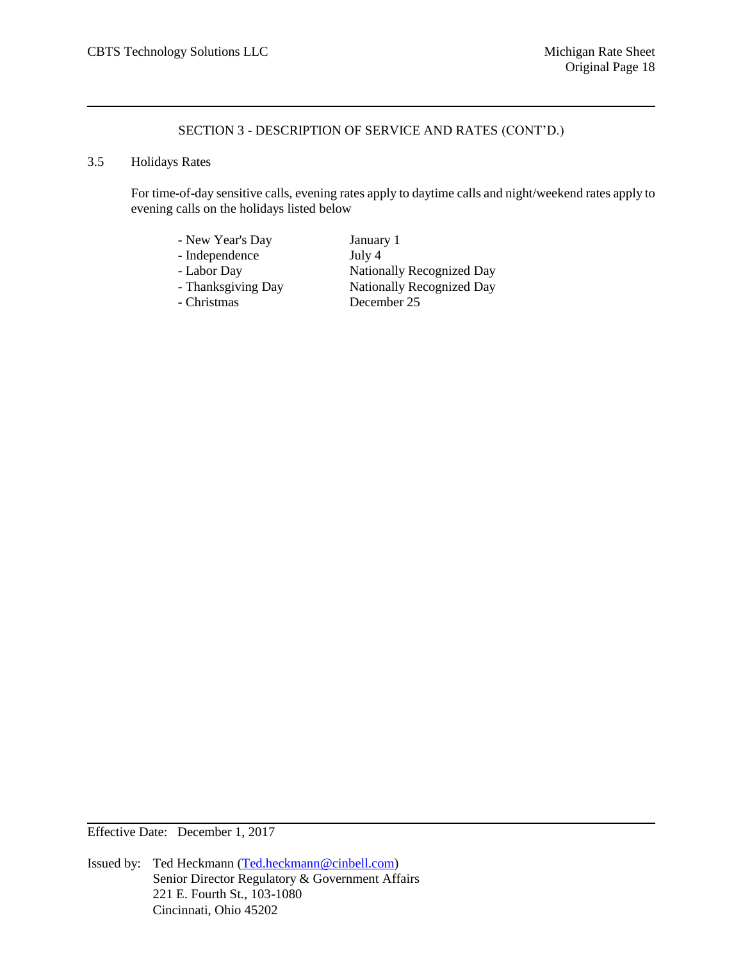## 3.5 Holidays Rates

For time-of-day sensitive calls, evening rates apply to daytime calls and night/weekend rates apply to evening calls on the holidays listed below

| - New Year's Day   | January 1                        |
|--------------------|----------------------------------|
| - Independence     | July 4                           |
| - Labor Day        | <b>Nationally Recognized Day</b> |
| - Thanksgiving Day | <b>Nationally Recognized Day</b> |
| - Christmas        | December 25                      |

Effective Date: December 1, 2017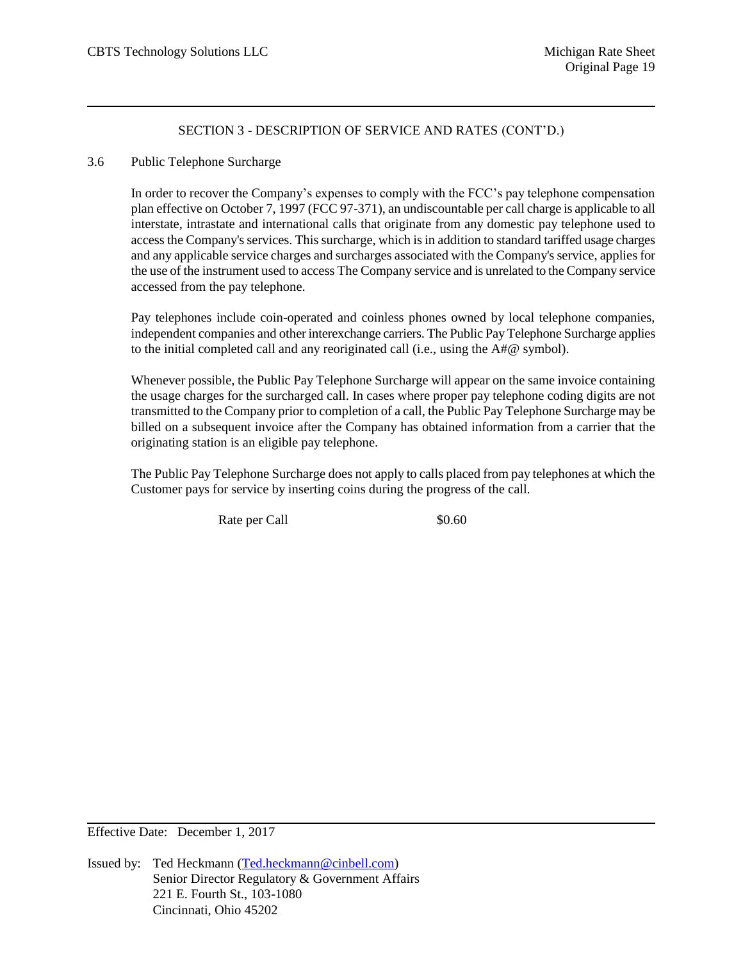## 3.6 Public Telephone Surcharge

In order to recover the Company's expenses to comply with the FCC's pay telephone compensation plan effective on October 7, 1997 (FCC 97-371), an undiscountable per call charge is applicable to all interstate, intrastate and international calls that originate from any domestic pay telephone used to access the Company's services. This surcharge, which is in addition to standard tariffed usage charges and any applicable service charges and surcharges associated with the Company's service, applies for the use of the instrument used to access The Company service and is unrelated to the Company service accessed from the pay telephone.

Pay telephones include coin-operated and coinless phones owned by local telephone companies, independent companies and other interexchange carriers. The Public Pay Telephone Surcharge applies to the initial completed call and any reoriginated call (i.e., using the A#@ symbol).

Whenever possible, the Public Pay Telephone Surcharge will appear on the same invoice containing the usage charges for the surcharged call. In cases where proper pay telephone coding digits are not transmitted to the Company prior to completion of a call, the Public Pay Telephone Surcharge may be billed on a subsequent invoice after the Company has obtained information from a carrier that the originating station is an eligible pay telephone.

The Public Pay Telephone Surcharge does not apply to calls placed from pay telephones at which the Customer pays for service by inserting coins during the progress of the call.

Rate per Call \$0.60

Effective Date: December 1, 2017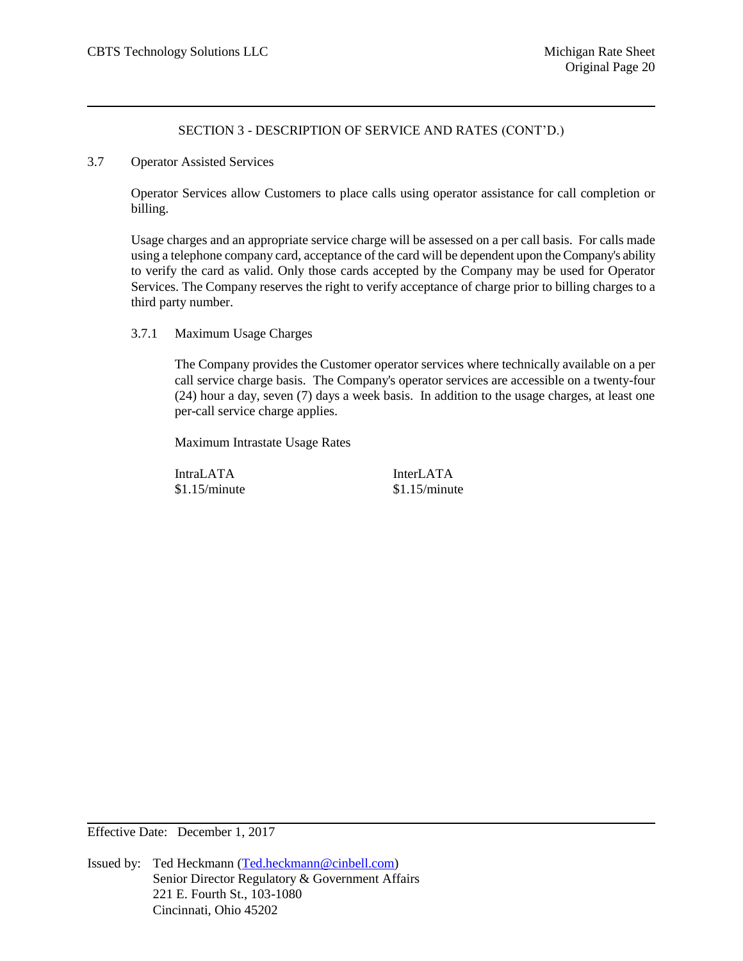3.7 Operator Assisted Services

Operator Services allow Customers to place calls using operator assistance for call completion or billing.

Usage charges and an appropriate service charge will be assessed on a per call basis. For calls made using a telephone company card, acceptance of the card will be dependent upon the Company's ability to verify the card as valid. Only those cards accepted by the Company may be used for Operator Services. The Company reserves the right to verify acceptance of charge prior to billing charges to a third party number.

3.7.1 Maximum Usage Charges

The Company provides the Customer operator services where technically available on a per call service charge basis. The Company's operator services are accessible on a twenty-four (24) hour a day, seven (7) days a week basis. In addition to the usage charges, at least one per-call service charge applies.

Maximum Intrastate Usage Rates

IntraLATA InterLATA \$1.15/minute \$1.15/minute

Effective Date: December 1, 2017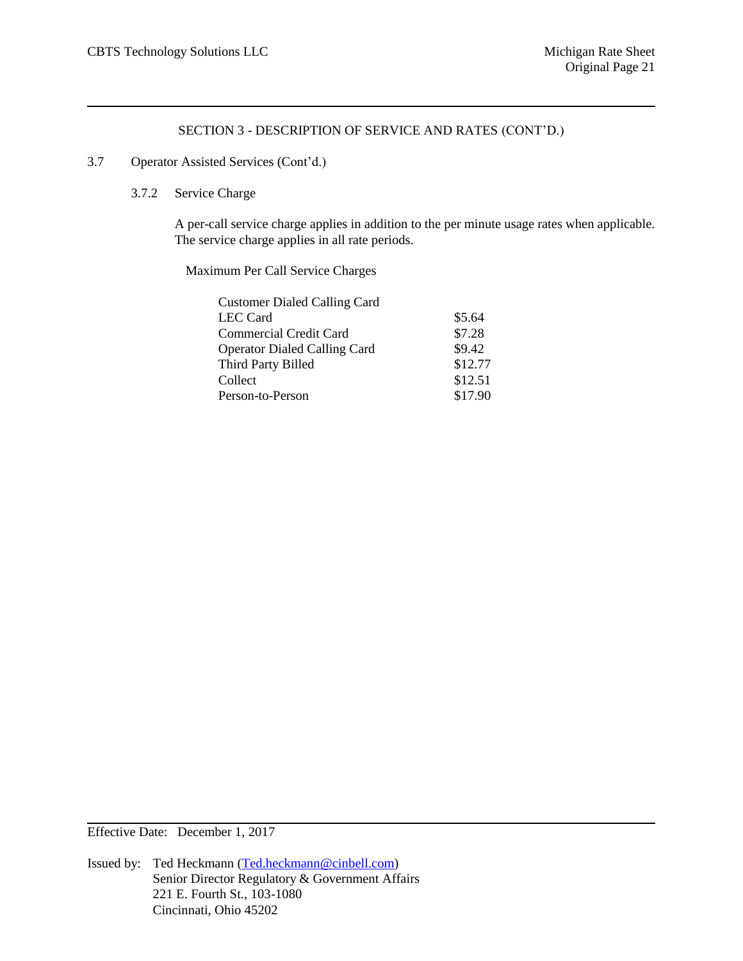## 3.7 Operator Assisted Services (Cont'd.)

### 3.7.2 Service Charge

A per-call service charge applies in addition to the per minute usage rates when applicable. The service charge applies in all rate periods.

Maximum Per Call Service Charges

| <b>Customer Dialed Calling Card</b> |         |
|-------------------------------------|---------|
| LEC Card                            | \$5.64  |
| <b>Commercial Credit Card</b>       | \$7.28  |
| <b>Operator Dialed Calling Card</b> | \$9.42  |
| Third Party Billed                  | \$12.77 |
| Collect                             | \$12.51 |
| Person-to-Person                    | \$17.90 |
|                                     |         |

Effective Date: December 1, 2017